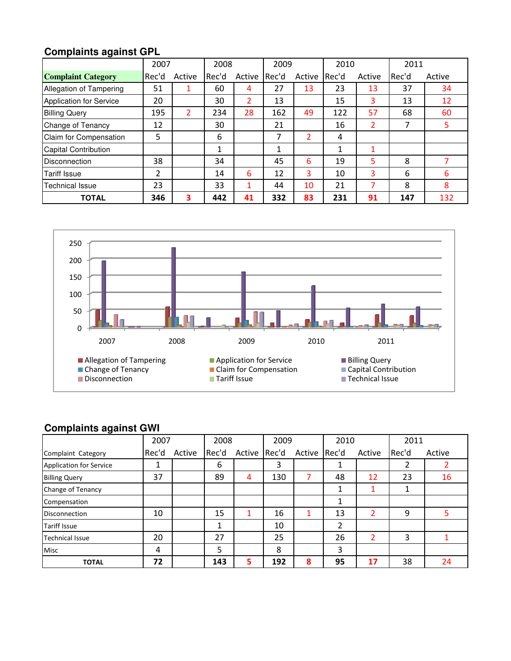|                                | 2007  |        | 2008   |        | 2009  |        | 2010  |        | 2011  |        |
|--------------------------------|-------|--------|--------|--------|-------|--------|-------|--------|-------|--------|
| <b>Complaint Category</b>      | Rec'd | Active | Rec'd  | Active | Rec'd | Active | Rec'd | Active | Rec'd | Active |
| Allegation of Tampering        | 51    |        | 60     | 4      | 27    | 13     | 23    | 13     | 37    | 34     |
| <b>Application for Service</b> | 20    |        | 30     | 2      | 13    |        | 15    | 3      | 13    | 12     |
| <b>Billing Query</b>           | 195   | 2      | 234    | 28     | 162   | 49     | 122   | 57     | 68    | 60     |
| Change of Tenancy              | 12    |        | 30     |        | 21    |        | 16    | 2      | 7     |        |
| Claim for Compensation         | 5     |        | 6      |        | 7     | 2      | 4     |        |       |        |
| Capital Contribution           |       |        | 1<br>┸ |        | 1     |        | 1     |        |       |        |
| <b>Disconnection</b>           | 38    |        | 34     |        | 45    | 6      | 19    | 5      | 8     |        |
| <b>Tariff Issue</b>            | 2     |        | 14     | 6      | 12    | 3      | 10    | 3      | 6     | 6      |
| Technical Issue                | 23    |        | 33     | 1      | 44    | 10     | 21    | 7      | 8     | 8      |
| <b>TOTAL</b>                   | 346   | 3      | 442    | 41     | 332   | 83     | 231   | 91     | 147   | 132    |

## **Complaints against GPL**



### **Complaints against GWI**

|                                | 2007  |        | 2008  |        | 2009  |        | 2010  |        | 2011  |        |
|--------------------------------|-------|--------|-------|--------|-------|--------|-------|--------|-------|--------|
| Complaint Category             | Rec'd | Active | Rec'd | Active | Rec'd | Active | Rec'd | Active | Rec'd | Active |
| <b>Application for Service</b> | ┻     |        | 6     |        | 3     |        |       |        | า     |        |
| <b>Billing Query</b>           | 37    |        | 89    | 4      | 130   |        | 48    | 12     | 23    | 16     |
| Change of Tenancy              |       |        |       |        |       |        | 1     |        | 1     |        |
| Compensation                   |       |        |       |        |       |        |       |        |       |        |
| <b>Disconnection</b>           | 10    |        | 15    |        | 16    | 1      | 13    | 2      | 9     | 5      |
| <b>Tariff Issue</b>            |       |        | 1     |        | 10    |        | 2     |        |       |        |
| <b>Technical Issue</b>         | 20    |        | 27    |        | 25    |        | 26    | 2      | 3     |        |
| <b>Misc</b>                    | 4     |        | 5     |        | 8     |        | 3     |        |       |        |
| <b>TOTAL</b>                   | 72    |        | 143   | 5      | 192   | 8      | 95    | 17     | 38    | 24     |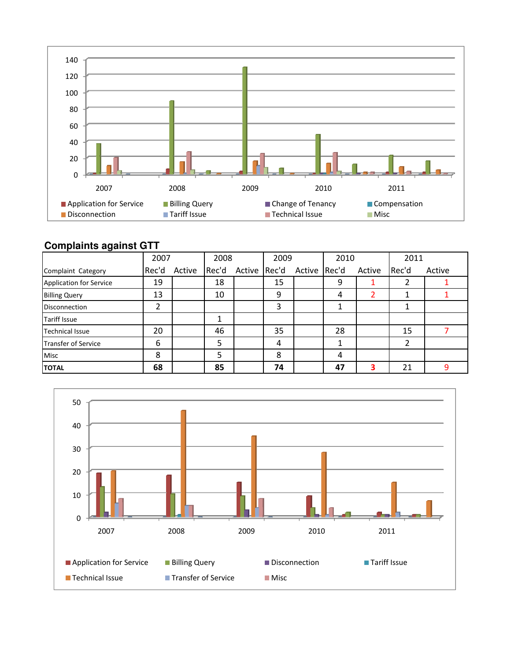

#### **Complaints against GTT**

|                                | 2007  |        | 2008  |        | 2009  |              | 2010 |        | 2011  |        |
|--------------------------------|-------|--------|-------|--------|-------|--------------|------|--------|-------|--------|
| Complaint Category             | Rec'd | Active | Rec'd | Active | Rec'd | Active Rec'd |      | Active | Rec'd | Active |
| <b>Application for Service</b> | 19    |        | 18    |        | 15    |              | 9    |        |       |        |
| <b>Billing Query</b>           | 13    |        | 10    |        | 9     |              | 4    |        |       |        |
| <b>Disconnection</b>           | 2     |        |       |        | 3     |              |      |        |       |        |
| <b>Tariff Issue</b>            |       |        |       |        |       |              |      |        |       |        |
| <b>Technical Issue</b>         | 20    |        | 46    |        | 35    |              | 28   |        | 15    |        |
| Transfer of Service            | 6     |        | 5     |        | 4     |              |      |        | 2     |        |
| Misc                           | 8     |        | 5     |        | 8     |              | 4    |        |       |        |
| <b>TOTAL</b>                   | 68    |        | 85    |        | 74    |              | 47   | 3      | 21    | q      |